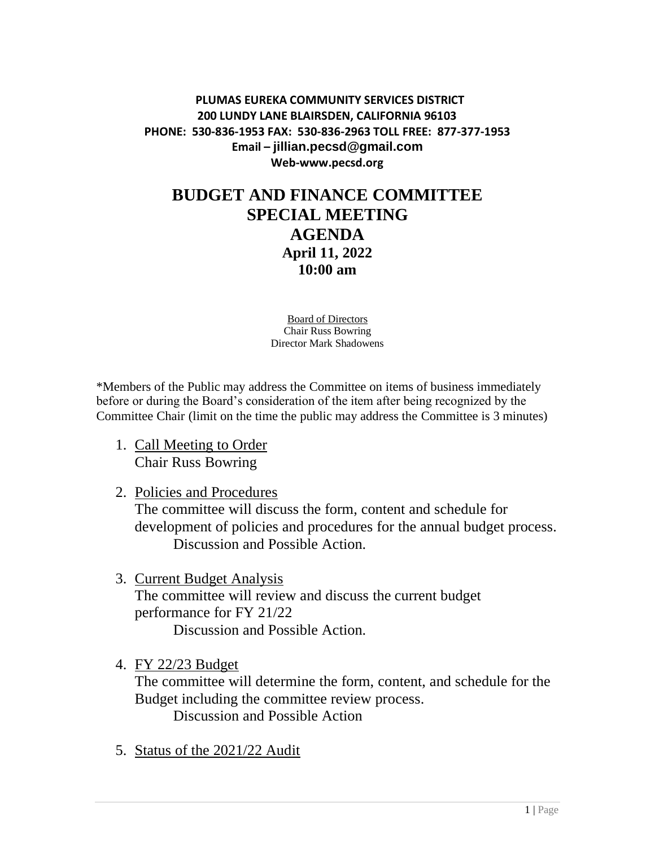## **PLUMAS EUREKA COMMUNITY SERVICES DISTRICT 200 LUNDY LANE BLAIRSDEN, CALIFORNIA 96103 PHONE: 530-836-1953 FAX: 530-836-2963 TOLL FREE: 877-377-1953 Email – jillian.pecsd@gmail.com Web-www.pecsd.org**

## **BUDGET AND FINANCE COMMITTEE SPECIAL MEETING AGENDA April 11, 2022 10:00 am**

Board of Directors Chair Russ Bowring Director Mark Shadowens

\*Members of the Public may address the Committee on items of business immediately before or during the Board's consideration of the item after being recognized by the Committee Chair (limit on the time the public may address the Committee is 3 minutes)

- 1. Call Meeting to Order Chair Russ Bowring
- 2. Policies and Procedures

The committee will discuss the form, content and schedule for development of policies and procedures for the annual budget process. Discussion and Possible Action.

3. Current Budget Analysis The committee will review and discuss the current budget performance for FY 21/22

Discussion and Possible Action.

4. FY 22/23 Budget

The committee will determine the form, content, and schedule for the Budget including the committee review process.

Discussion and Possible Action

5. Status of the 2021/22 Audit